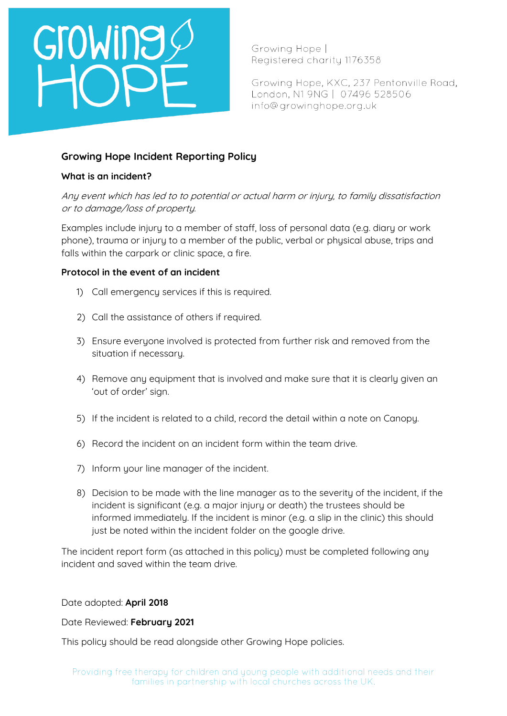

Growing Hope | Registered charity 1176358

Growing Hope, KXC, 237 Pentonville Road, London, N1 9NG | 07496 528506 info@growinghope.org.uk

## **Growing Hope Incident Reporting Policy**

## **What is an incident?**

Any event which has led to to potential or actual harm or injury, to family dissatisfaction or to damage/loss of property.

Examples include injury to a member of staff, loss of personal data (e.g. diary or work phone), trauma or injury to a member of the public, verbal or physical abuse, trips and falls within the carpark or clinic space, a fire.

## **Protocol in the event of an incident**

- 1) Call emergency services if this is required.
- 2) Call the assistance of others if required.
- 3) Ensure everyone involved is protected from further risk and removed from the situation if necessary.
- 4) Remove any equipment that is involved and make sure that it is clearly given an 'out of order' sign.
- 5) If the incident is related to a child, record the detail within a note on Canopy.
- 6) Record the incident on an incident form within the team drive.
- 7) Inform your line manager of the incident.
- 8) Decision to be made with the line manager as to the severity of the incident, if the incident is significant (e.g. a major injury or death) the trustees should be informed immediately. If the incident is minor (e.g. a slip in the clinic) this should just be noted within the incident folder on the google drive.

The incident report form (as attached in this policy) must be completed following any incident and saved within the team drive.

Date adopted: **April 2018**

Date Reviewed: **February 2021**

This policy should be read alongside other Growing Hope policies.